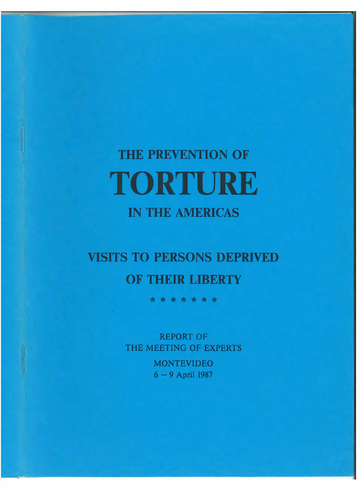# **THE PREVENTION OF TORTURE IN THE AMERICAS**

## **VISITS TO PERSONS DEPRIVED OF THEIR LIBERTY**

\* \* \* \* \* \* \*

REPORT OF THE MEETING OF EXPERTS

> MONTEVIDEO 6 - 9 April 1987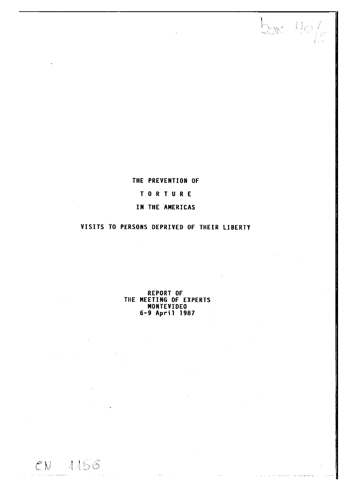## THE PREVENTION OF

I <

## TORTURE

## IN THE AMERICAS

## VISITS TO PERSONS DEPRIVED OF THEIR LIBERTY

REPORT OF THE MEETING OF EXPERTS MONTEVIDEO 6-9 April 1987

*c u*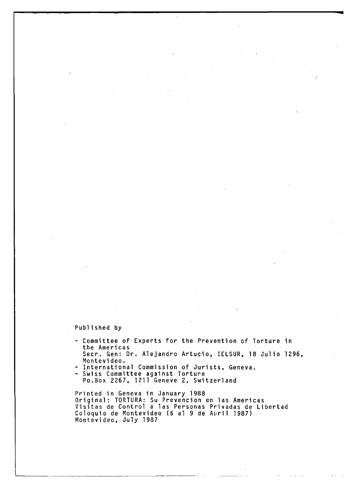## Published by

- Committee of Experts for the Prevention of Torture in the Americas Seer. Gen: Dr. Alejandro Artucio, IELSUR, 18 Julio 1296,
- Montevideo.
- International Commission of Jurists, Geneva.
- Swiss Committee against Torture Po.Box 2267, 1211 Geneve 2, Switzerland

Printed in Geneva in January 1988 Original: TORTURA: Su Prevencion en las Americas Visitas de Control a las Personas Privadas de Libertad Coloquio de Montevideo (6 al 9 de Abril 1987) Montevideo, July 1987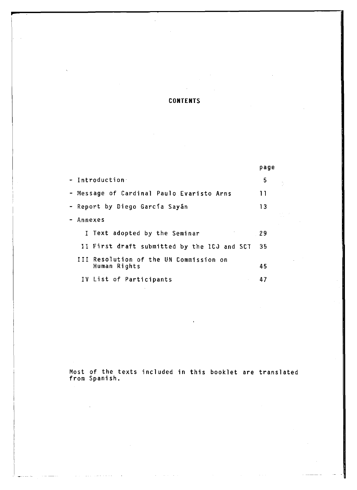## CONTENTS

**r**

|                                                        | page |
|--------------------------------------------------------|------|
| - Introduction                                         | 5    |
| - Message of Cardinal Paulo Evaristo Arns              | 11   |
| - Report by Diego García Sayán                         | 13   |
| - Annexes                                              |      |
| I Text adopted by the Seminar                          | 29   |
| II First draft submitted by the ICJ and SCT            | 35   |
| III Resolution of the UN Commission on<br>Human Rights | 45   |
| IV List of Participants                                | 47   |

Most of the texts included in this booklet are translated<br>from Spanish.

 $\varphi(\varphi) = \varphi(\varphi(\varphi))$  , where  $\varphi(\varphi(\varphi))$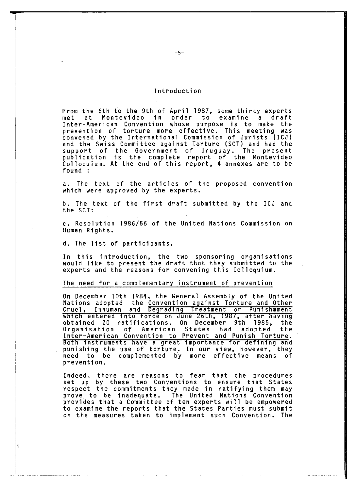## Introduction

From the 6th to the 9th of April 1987, some thirty experts met at Montevideo in order to examine a draft Inter-American Convention whose purpose is to make the prevention of torture more effective. This meeting was convened by the International Commission of Jurists (ICJ) and the Swiss Committee against Torture (SCT) and had the support of the Government of Uruguay. The present publication is the complete report of the Montevideo Colloquium. At the end of this report, 4 annexes are to be found :

a. The text of the articles of the proposed convention which were approved by the experts.

b. The text of the first draft submitted by the ICJ and the SCT:

c. Resolution 1986/56 of the United Nations Commission on Human Rights.

d. The list of participants.

<sup>6</sup>

In this introduction, the two sponsoring organisations would like to present the draft that they submitted to the experts and the reasons for convening this Colloquium.

#### The need for a complementary instrument of prevention

On December 10th 1984, the General Assembly of the United Nations adopted the Convention against Torture and Other Cruel, Inhuman and Degrading Ireatment or Punishipment which entered into force on June 26th, 1987, after having obtained 20 ratifications. On December 9th 1985, the Organisation of American States had adopted the Inter-American Convention to Prevent and Punish Torture. Both instruments have a great importance for defining and punishing the use of torture. In our view, however, they need to be complemented by more effective means of prevention.

Indeed, there are reasons to fear that the procedures set up by these two Conventions to ensure that States respect the commitments they made in ratifying them may prove to be inadequate. The United Nations Convention provides that a Committee of ten experts will be empowered to examine the reports that the States Parties must submit on the measures taken to implement such Convention. The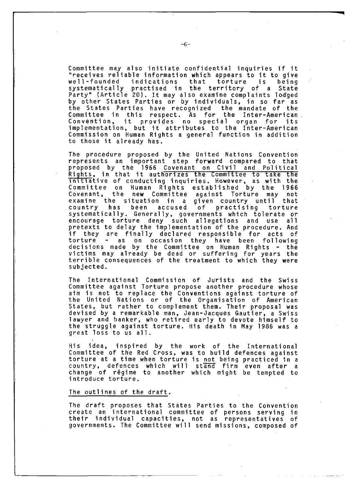Committee may also initiate confidential inquiries if it "receives reliable information which appears to it to give well-founded indications that torture is being systematically practised in the territory of a State Party" (Article 20). It may also examine complaints lodged by other States Parties or by individuals, in so far as the States Parties have recognized the mandate of the Committee in this respect. As for the Inter-American Convention, it provides no special organ for its implementation, but it attributes to the Inter-American

Commission on Human Rights a general function in addition

The procedure proposed by the United Nations Convention represents an important step forward compared to that proposed by the 1966 Covenant on Civil and Political Rights, in that it authorizes the Committee to take the initiative of conducting inquiries. However, as with the Committee on Human Rights established by the 1966 Covenant, the new Committee against Torture may not examine the situation in a given country until that country has been accused of practising torture systematically. Generally, governments which tolerate or encourage torture deny such allegations and use all pretexts to delay the implementation of the procedure. And if they are finally declared responsible for acts of torture - as on occasion they have been following decisions made by the Committee on Human Rights - the victims may already be dead or suffering for years the terrible consequences of the treatment to which they were subjected.

The International Commission of Jurists and the Swiss Committee against Torture propose another procedure whose aim is not to replace the Conventions against torture of the United Nations or of the Organisation of American States, but rather to complement them. Their proposal was devised by a remarkable man, Jean-Jacques Gautier, a Swiss lawyer and banker, who retired early to devote himself to the struggle against torture. His death in May 1986 was a great loss to us all.

His idea, inspired by the work of the International Committee of the Red Cross, was to build defences against torture at a time when torture is not being practiced in a country, defences which will stand firm even after a change of régime to another which might be tempted to introduce torture.

#### The outlines of the draft.

to those it already has.

The draft proposes that States Parties to the Convention create an international committee of persons serving in their individual capacities, not as representatives of governments. The Committee will send missions, composed of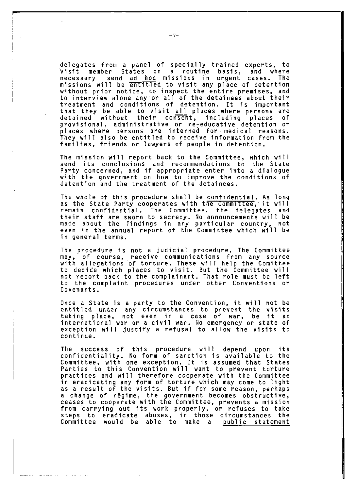delegates from a panel of specially trained experts, to visit member States on a routine basis, and where necessary send ad hoc missions in urgent cases. The missions will be entitIed to visit any place of detention without prior notice, to inspect the entire premises, and to interview alone any or all of the detainees about their treatment and conditions of detention. It is important that they be able to visit all places where persons are<br>detained without their consent, including places of detained without their consent, including places of provisional, administrative or re-educative detention or places where persons are interned for medical reasons. They will also be entitled to receive information from the families, friends or lawyers of people in detention.

The mission will report back to the Committee, which will send its conclusions and recommendations to the State Party concerned, and if appropriate enter into a dialogue with the government on how to improve the conditions of detention and the treatment of the detainees.

The whole of this procedure shall be confidential. As long as the State Party cooperates with the Committee, it will remain confidential. The Committee, the delegates and their staff are sworn to secrecy. No announcements will be made about the findings in any particular country, not even in the annual report of the Committee which will be in general terms.

The procedure is not a judicial procedure. The Committee may, of course, receive communications from any source with allegations of torture. These will help the Comittee to decide which places to visit. But the Committee will not report back to the complainant. That role must be left to the complaint procedures under other Conventions or Covenants.

Once a State is a party to the Convention, it will not be entitled under any circumstances to prevent the visits taking place, not even in a case of war, be it an international war or a civil war. No emergency or state of exception will justify a refusal to allow the visits to continue.

The success of this procedure will depend upon its confidentiality. No form of sanction is available to the Committee, with one exception. It is assumed that States Parties to this Convention will want to prevent torture practices and will therefore cooperate with the Committee in eradicating any form of torture which may come to light as a result of the visits. But if for some reason, perhaps a change of régime, the government becomes obstructive, ceases to cooperate with the Committee, prevents a mission from carrying out its work properly, or refuses to take steps to eradicate abuses, in those circumstances the Committee would be able to make a public statement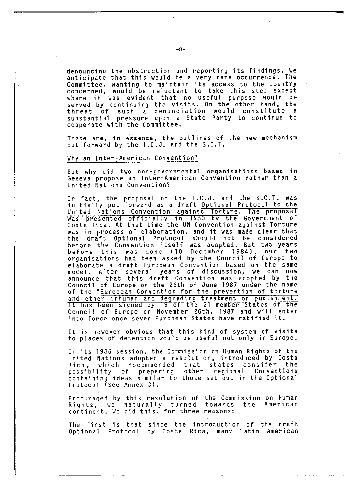denouncing the obstruction and reporting its findings. We anticipate that this would be a very rare occurrence. The Committee, wanting to maintain its access to the country concerned, would be reluctant to take this step except where it was evident that no useful purpose would`be served by continuing the visits. On the other hand, the threat of such a denunciation would constitute a substantial pressure upon a State Party to continue to cooperate with the Committee.

These are, in essence, the outlines of the new mechanism put forward by the I.C.J. and the S.C.T.

#### Why an Inter-American Convention?

But why did two non-governmental organisations based in Geneva propose an Inter-American Convention rather than a United Nations Convention?

In fact, the proposal of the I.C.J. and the S.C.T. was initially put forward as a draft Optional Protocol to the United Nations Convention against Torture. The proposal was presented officially in 1980 by the Government of Costa Rica. At that time the UN Convention against Torture was in process of el aboration, and it was made clear that the draft Optional Protocol should not be considered before the Convention itself was adopted. But two years before this was done (10 December 1984), our two organisations had been asked by the Council of Europe to elaborate a draft European Convention based on the same model. After several years of discussion, we can now announce that this draft Convention was adopted by the Council of Europe on the 26th of June 1987 under the name of the "European Convention for the prevention of torture and other inhuman and degrading treatment or punishment. It has been signed by 19 of the 21 member States of the Council of Europe on November 26th, 1987 and will enter into force once seven European States have ratified it.

It is however obvious that this kind of system of visits to places of detention would be useful not only in Europe.

In its 1986 session, the Commission on Human Rights of the United Nations adopted a resolution, introduced by Costa Rica, which recommended that states consider the possibility of preparing other regional Conventions containing ideas similar to those set out in the Optional Protocol (See Annex 3).

Encouraged by this resolution of the Commission on Human Rights, we naturally turned towards the American continent. We did this, for three reasons:

The first is that since the introduction of the draft Optional Protocol by Costa Rica, many Latin American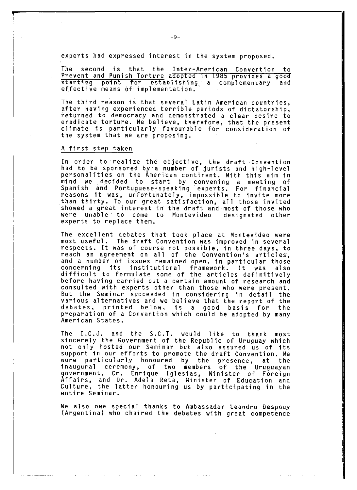experts had expressed interest in the system proposed.

The second is that the Inter-American Convention to Prevent and Punish Torture adopted in 1985 provides a good starting point for establishing a complementary and effective means of implementation.

The third reason is that several Latin American countries, after having experienced terrible periods of dictatorship, returned to democracy and demonstrated a clear desire to eradicate torture. We believe, therefore, that the present climate is particularly favourable for consideration of the system that we are proposing.

#### A first step taken

In order to realize the objective, the draft Convention had to be sponsored by a number of jurists and high-level personalities on the American continent. With this aim in mind we decided to start by convening a meeting of Spanish and Portuguese-speaking experts. For financial reasons it was, unfortunately, impossible to invite more than thirty. To our great satisfaction, all those invited showed a great interest in the draft and most of those who were unable to come to Montevideo designated other experts to replace them.

The excellent debates that took place at Montevideo were most useful. The draft Convention was improved in several respects. It was of course not possible, in three days, to reach an agreement on all of the Convention's articles, and a number of issues remained open, in particular those<br>concerning, its, institutional, framework, It, was, also institutional framework. It was also difficult to formulate some of the articles definitively before having carried out a certain amount of research and consulted with experts other than those who were present. But the Seminar succeeded in considering in detail the various alternatives and we believe that the report of the debates, printed below, is a good basis for the preparation of a Convention which could be adopted by many American States.

The I.C.J. and the S.C.T. would like to thank most sincerely the Government of the Republic of Uruguay which not only hosted our Seminar but also assured us of its support in our efforts to promote the draft Convention. We were particularly honoured by the presence, at the inaugural ceremony, of two members of the Uruguayan government, Cr. Enrique Iglesias, Minister of Foreign Affairs, and Dr. Adela Reta, Minister of Education and Culture, the latter honouring us by participating in the entire Seminar.

We also owe special thanks to Ambassador Leandro Despouy (Argentina) who chaired the debates with great competence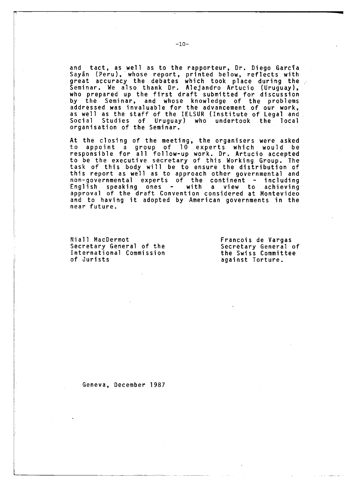and tact, as well as to the rapporteur, Dr. Diego García Sayan (Peru), whose report, printed below, reflects with great accuracy the debates which took place during the Seminar. We also thank Dr. Alejandro Artucio (Uruguay), who prepared up the first draft submitted for discussion by the Seminar, and whose knowledge of the problems addressed was invaluable for the advancement of our work, as well as the staff of the IELSUR (Institute of Legal and Social Studies of Uruguay) who undertook the local organisation of the Seminar.

At the closing of the meeting, the organisers were asked to appoint a group of 10 experts which would be responsible for all follow-up work. Dr. Artucio accepted to be the executive secretary of this Working Group. The task of this body will be to ensure the distribution of this report as well as to approach other governmental and non-governmental experts of the continent - including English speaking ones - with a view to achieving approval of the draft Convention considered at Montevideo and to having it adopted by American governments in the near future.

Niall MacDermot Secretary General of the International Commission of Jurists

T

Francois de Vargas Secretary General of the Swiss Committee against Torture.

Geneva, December 1987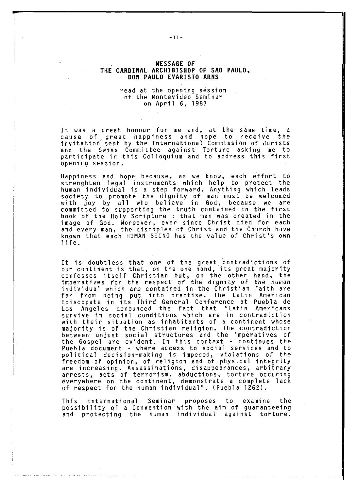#### MESSAGE OF THE CARDINAL ARCHIBISHOP OF SAO PAULO, DON PAULO EVARISTO ARNS

read at the opening session of the Montevideo Seminar on April 6, 1987

It was a great honour for me and, at the same time, a<br>cause of great happiness and hope to receive the cause of great happiness and hope to receive the invitation sent by the International Commission of Jurists and the Swiss Committee against Torture asking me to participate in this Colloquium and to address this first opening session.

Happiness and hope because, as we know, each effort to strenghten legal instruments which help to protect the human individual is a step forward. Anything which leads society to promote the dignity of man must be welcomed with joy by all who believe in God, because we are committed to supporting the truth contained in the first book of the Holy Scripture : that man was created in the image of God. Moreover, ever since Christ died for each and every man, the disciples of Christ and the Church have known that each HUMAN BEING has the value of Christ's own life.

It is doubtless that one of the great contradictions of our continent is that, on the one hand, its great majority confesses itself Christian but, on the other hand, the imperatives for the respect of the dignity of the human individual which are contained in the Christian faith are far from being put into practise. The Latin American Episcopate in its Third General Conference at Puebla de Los Angeles denounced the fact that "Latin Americans survive in social conditions which are in contradiction with their situation as inhabitants of a continent whose majority is of the Christian religion. The contradiction between unjust social structures and the imperatives of the Gospel are evident. In this context - continues the Puebla document - where access to social services and to political decision-making is impeded, violations of the f re ed om of opinion, of religion and of physical integrity are increasing. Assassinations, disappearances, arbitrary arrests, acts of terrorism, abductions, torture occuring everywhere on the continent, demonstrate a complete lack of respect for the human individual". (Puebla 1262).

This international Seminar proposes to examine the possibility of a Convention with the aim of guaranteeing and protecting the human individual against torture.

- 11-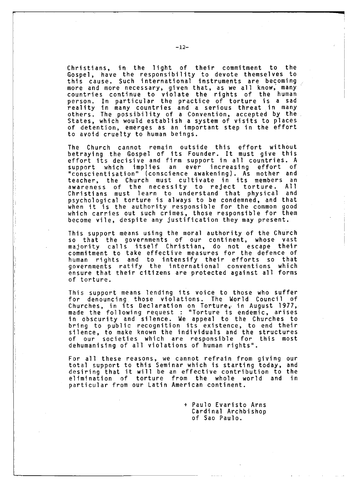Christians, in the light of their commitment to the Gospel, have the responsibility to devote themselves to this cause. Such international instruments are becoming more and more necessary, given that, as we all know, many countries continue to violate the rights of the human person. In particular the practice of torture is a sad reality in many countries and a serious threat in many others. The possibility of a Convention, accepted by the States, which would establish a system of visits to places of detention, emerges as an important step in the effort to avoid cruelty to human beings.

The Church cannot remain outside this effort without betraying the Gospel of its Founder. It must give this effort its decisive and firm support in all countries. A support which implies an ever increasing effort of "conscientisation" (conscience awakening). As mother and teacher, the Church must cultivate in its members an awareness of the necessity to reject torture. All Christians must learn to understand that physical and psychological torture is always to be condemned, and that when it is the authority responsible for the common good which carries out such crimes, those responsible for them become vile, despite any justification they may present.

This support means using the moral authority of the Church so that the governments of our continent, whose vast majority calls itself Christian, do not escape their commitment to take effective measures for the defence of human rights and to intensify their efforts so that governments ratify the international conventions which ensure that their citizens are protected against all forms of torture.

This support means lending its voice to those who suffer for denouncing those violations. The World Council of Churches, in its Declaration on Torture, in August 1977, made the following request : "Torture is endemic, arises in obscurity and silence. We appeal to the Churches to bring to public recognition its existence, to end their silence, to make known the individuals and the structures of our societies which are responsible for this most dehumanising of all violations of human rights".

For all these reasons, we cannot refrain from giving our total support to this Seminar which is starting today, and desiring that it will be an effective contribution to the elimination of torture from the whole world and in particular from our Latin American continent.

> + Paulo Evaristo Arns Cardinal Archbishop of Sao Paulo.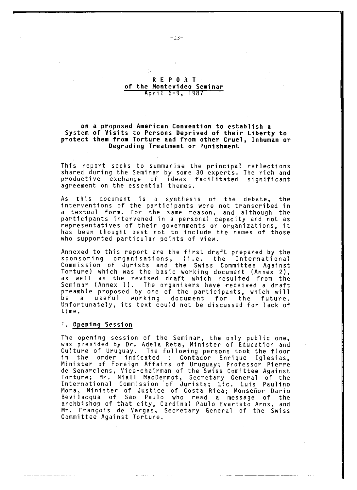#### REPORT of the Montevideo Seminar April 6-9, 1987

#### on a proposed American Convention to establish a System of Visits to Persons Deprived of their Liberty to protect them from Torture and from other Cruel, Inhuman or Degrading Treatment or Punishment

This report seeks to summarise the principal reflections shared during the Seminar by some 30 experts. The rich and productive exchange of ideas facilitated significant agreement on the essential themes.

As this document is a synthesis of the debate, the interventions of the participants were not transcribed in a textual form. For the same reason, and although the participants intervened in a personal capacity and not as representatives of their governments or organizations, it has been thought best not to include the names of those who supported particular points of view.

Annexed to this report are the first draft prepared by the sponsoring organisations, (i.e. the International Commission of Jurists and the Swiss Committee Against Torture) which was the basic working document (Annex 2), as well as the revised draft which resulted from the Seminar (Annex 1). The organisers have received a draft preamble proposed by one of the participants, which will be a useful working document for the future. Unfortunately, its text could not be discussed for lack of time.

#### 1. Opening Session

The opening session of the Seminar, the only public one, was presided by Dr. Adela Reta, Minister of Education and Culture of Uruguay. The following persons took the floor in the order indicated : Contador Enrique Iglesias, Minister of Foreign Affairs of Uruguay; Professor Pierre de Senarclens, Vice-chairman of the Swiss Comittee Against Torture; Mr. Niall MacDermot, Secretary General of the International Commission of Jurists; Lic. Luis Paulino Mora, Minister of Justice of Costa Rica; Monseñor Dario Bevilacqua of Sao Paulo who read a message of the archbishop of that city, Cardinal Paulo Evaristo Arns, and Mr. François de Vargas, Secretary General of the Swiss Committee Against Torture.

- 13-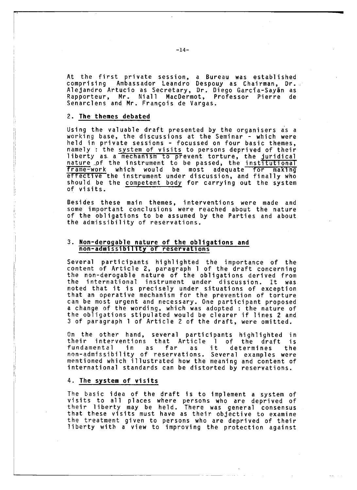At the first private session, a Bureau was established comprising Ambassador Leandro Despouy as Chairman, Dr. Alejandro Artucio as Secretary, Dr. Diego Garcia-Sayan as Rapporteur, Mr. Niall MacDermot, Professor Pierre de Senarclens and Mr. Frangois de Vargas.

#### 2. The themes debated

Using the valuable draft presented by the organisers as a working base, the discussions at the Seminar - which were held in private sessions - focussed on four basic themes, namely : the system of visits to persons deprived of their liberty as a mechanism to prevent torture, the juridical nature of the instrument to be passed, the inst<del>itutional</del> frame-work which would be most adequate for making effective the instrument under discussion, and finally who should be the competent body for carrying out the system of visits.

Besides these main themes, interventions were made and some important conclusions were reached about the nature of the obligations to be assumed by the Parties and about the admissibility of reservations.

#### 3. Non-derogable nature of the obligations and non-admissibility of reservations

Several participants highlighted the importance of the content of Article 2, paragraph 1 of the draft concerning the non-derogable nature of the obligations derived from the international instrument under discussion. It was noted that it is precisely under situations of exception that an operative mechanism for the prevention of torture can be most urgent and necessary. One participant proposed a change of the wording, which was adopted : the nature of the obligations stipulated would be clearer if lines 2 and 3 of paragraph 1 of Article 2 of the draft, were omitted.

On the other hand, several participants highlighted in their interventions that Article 1 of the draft is fundamental in as far as it determines the non-admissibility of reservations. Several examples were mentioned which illustrated how the meaning and content of international standards can be distorted by reservations.

#### 4. The system of visits

The basic idea of the draft is to implement a system of visits to all places where persons who are deprived of their liberty may be held. There was general consensus that these visits must have as their objective to examine the treatment given to persons who are deprived of their liberty with a view to improving the protection against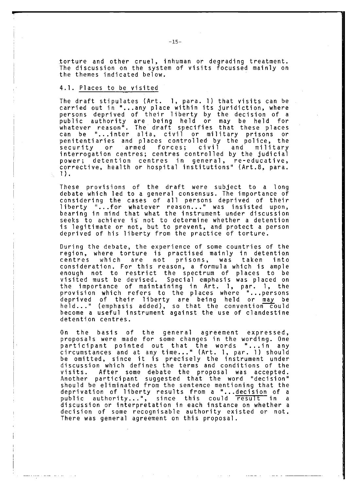torture and other cruel, inhuman or degrading treatment. The discussion on the system of visits focussed mainly on the themes indicated below.

## 4.1. Places to be visited

The draft stipulates (Art. 1, para. 1) that visits can be carried out in "...any place within its juridiction, where persons deprived of their liberty by the decision of a public author it y are being held or may be held for whatever reason". The draft specifies that these places can be "...inter alia, civil or military prisons or penitentiaries and places controlled by the police, the security or armed forces; civil and milit interrogation centres; centres controlled by the judicial power; detention centres in general, re-educative, corrective, health or hospital institutions" (Art.8, para. 1 **).**

These provisions of the draft were subject to a long debate which led to a general consensus. The importance of considering the cases of all persons deprived of their liberty "...for whatever reason..." was insisted upon, bearing in mind that what the instrument under discussion seeks to achieve is not to determine whether a detention is legitimate or not, but to prevent, and protect a person deprived of his liberty from the practice of torture.

During the debate, the experience of some countries of the region, where torture is practised mainly in detention centres which are not prisons, was taken into consideration. For this reason, a formula which is ample enough not to restrict the spectrum of places to be visited must be devised. Special emphasis was placed on the importance of maintaining in Art. 1, par. 1, the provision which refers to the places where "...persons deprived of their liberty are being held or may be held..." (emphasis added), so that the convention could become a useful instrument against the use of clandestine detention centres.

On the basis of the general agreement expressed, proposals were made for some changes in the wording. One participant pointed out that the words "...in any circumstances and at any time..." (Art. 1, par. 1) should be omitted, since it is precisely the instrument under discussion which defines the terms and conditions of the visits. After some debate the proposal was accepted. Another participant suggested that the word "decision" should be eliminated from the sentence mentioning that the deprivation of liberty results from a "...decision of a public authority...", since this could result in a discussion or interpretation in each instance on whether a decision of some recognisable authority existed or not. There was general agreement on this proposal.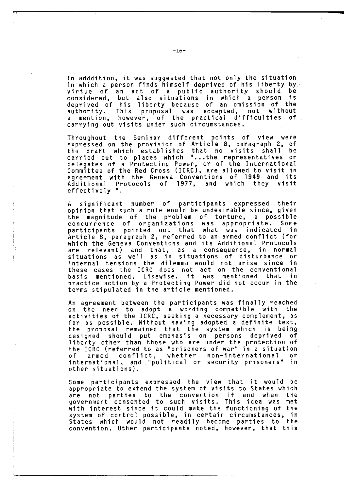In adddition, it was suggested that not only the situation in which a person finds himself deprived of his liberty by virtue of an act of a public authority should be considered, but also situations in which a person is d eprived of his liberty be cause of an o mission of the authority. This proposal was accepted, not without a mention, however, of the practical difficulties of carrying out visits under such circumstances.

Throughout the Seminar different points of view were expressed on the provision of Article 8, paragraph 2, of the draft which establishes that no visits shall be carried out to places which "...the representatives or delegates of a Protecting Power, or of the International Committee of the Red Cross (ICRC), are allowed to visit in agreement with the Geneva Conventions of 1949 and its Additional Protocols of 1977, and which they visit effectively ".

A significant number of participants expressed their opinion that such a rule would be undesirable since, given the magnitude of the problem of torture, a possible concurrence of organizations was appropriate. Some participants pointed out that what was indicated in Article 8, paragraph 2, referred to an armed conflict (for which the Geneva Conventions and its Additional Protocols are relevant) and that, as a consequence, in normal situations as well as in situations of disturbance or internal tensions the dilemma would not arise since in these cases the ICRC does not act on the conventional basis mentioned. Likewise, it was mentioned that in practice action by a Protecting Power did not occur in the terms stipulated in the article mentioned.

An agreement between the participants was finally reached on the need to adopt a wording compatible with the activities of the ICRC, seeking a necessary complement, as far as possible. Without having adopted a definite text, the proposal remained that the system which is being designed should put emphasis on persons deprived of liberty other than those who are under the protection of the ICRC (referred to as "prisoners of war" in a situation of armed conflict, whether non-international or international, and "political or security prisoners" in other situati ons ).

Some participants expressed the view that it would be appropriate to extend the system of visits to States which are not parties to the convention if and when the government consented to such visits. This idea was met with interest since it could make the functioning of the system of control possible, in certain circumstances, in States which would not readily become parties to the convention. Other participants noted, however, that this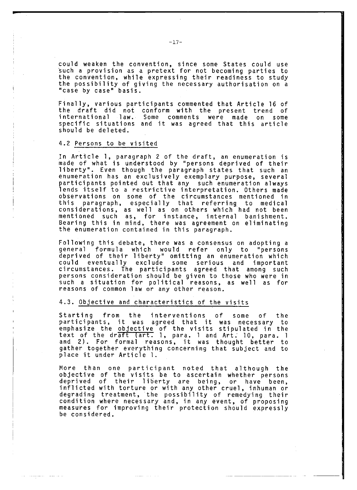could weaken the convention, since some States could use such a provision as a pretext for not becoming parties to the convention, while expressing their readiness to study the possibility of giving the necessary authorisation on a "case by case" basis.

Finally, various participants commented that Article 16 of the draft did not conform with the present trend of international law. Some comments were made on some specific situations and it was agreed that this article should be deleted.

#### 4.2 Persons to be visited

In Article 1, paragraph 2 of the draft, an enumeration is made of what is understood by "persons deprived of their liberty". Even though the paragraph states that such an enumeration has an exclusively exemplary purpose, several participants pointed out that any such enumeration always lends itself to a restrictive interpretation. Others made observations on some of the circumstances mentioned in this paragraph, especially that referring to medical considerations, as well as on others which had not been mentioned such as, for instance, internal banishment. Bearing this in mind, there was agreement on eliminating the enumeration contained in this paragraph.

Following this debate, there was a consensus on adopting a general formula which would refer only to "persons deprived of their liberty" omitting an enumeration which could eventually exclude some serious and important circumstances. The participants agreed that among such persons consideration should be given to those who were in such a situation for political reasons, as well as for reasons of common law or any other reason.

## 4.3. Objective and characteristics of the visits

Starting from the interventions of some of the participants, it was agreed that it was necessary to emphasize the objective of the visits stipulated in the text of the dr<del>aft (art.</del> 1, para. 1 and Art. 10, para. 1 and 2). For formal reasons, it was thought better to gather together everything concerning that subject and to place it under Article 1.

More than one participant noted that although the objective of the visits be to ascertain whether persons deprived of their liberty are being, or have been, inflicted with torture or with any other cruel, inhuman or degrading treatment, the possibility of remedying their condit io n where necessary and, in any event, of proposing measures for improving their protection should expressly be considered.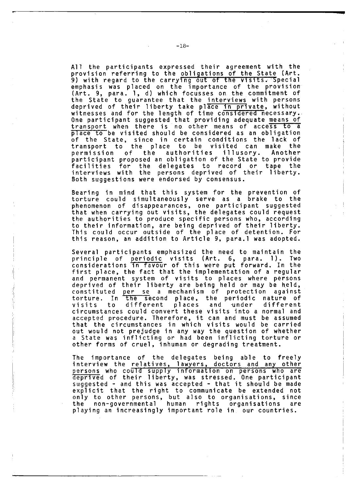All the participants expressed their agreement with the provision referring to the obligations of the State (Art. 9) with regard to the carrying out of the visits. Special emphasis was placed on the importance of the provision (Art. 9, para. 1, d) which focusses on the commitment of the State to guarantee that the interviews with persons deprived of their liberty take pl<del>ace in pri</del>vate, without witnesses and for the length of time considered necessary. One participant suggested that providing adequate means of transport when there is no other means of access to a place to be visited should be considered as an obligation of the State, since in certain conditions the lack of transport to the place to be visited can make the permission of the authorities illusory. Another participant proposed an obligation of the State to provide facilities for the delegates to record or tape the interviews with the persons deprived of their liberty. Both suggestions were endorsed by consensus.

Bearing in mind that this system for the prevention of torture could simultaneously serve as a brake to the phenomenon of disappearances, one participant suggested that when carrying out visits, the delegates could request the authorities to produce specific persons who, according to their information, are being deprived of their liberty. This could occur outside of the place of detention. For this reason, an addition to Article 9, para.l was adopted.

Several participants emphasized the need to maintain the principle of periodic visits (Art. 6, para. 1). Two considerations in favour of this were put forward. In the first place, the fact that the implementation of a regular and permanent system of visits to places where persons deprived of their liberty are being held or may be held, constituted per se a mechanism of protection against torture. In the second place, the periodic nature of visits to different places and under different circumstances could convert these visits into a normal and accepted procedure. Therefore, it can and must be assumed that the circumstances in which visits would be carried out would not prejudge in any way the question of whether a State was inflicting or had been inflicting torture or other forms of cruel, inhuman or degrading treatment.

The importance of the delegates being able to freely interview the relatives, lawyers, doctors and any other persons who could supply information on persons who are deprived of their liberty, was stressed. One participant suggested - and this was accepted - that it should be made explicit that the right to communicate be extended not only to other persons, but also to organisations, since the non-governmental human rights organisations are playing an increasingly important role in our countries.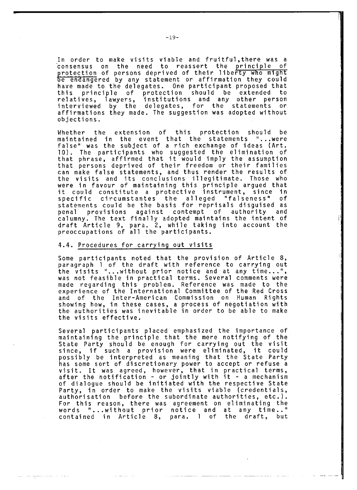In order to make visits viable and fruitful, there was a consensus on the need to reassert the principle of protection of persons deprived of their liberty who might be endangered by any statement or affirmation they could have made to the delegates. One participant proposed that this principle of protection should be extended to relatives, lawyers, institutions and any other person interviewed by the delegates, for the statements or affirmations they made. The suggestion was adopted without objections.

Whether the extension of this protection should be maintained in the event that the statements "...were false" was the subject of a rich exchange of ideas (Art. 10). The participants who suggested the elimination of that phrase, affirmed that it would imply the assumption that persons deprived of their f re edom or their families can make false statements, and thus render the results of the visits and its conclusions illegitimate. Those who were in favour of maintaining this principle argued that it could constitute a protective instrument, since in specific circumstantes the alleged "falseness" of statements could be the basis for reprisals disguised as penal provisions against contempt of authority and calumny. The text finally adopted maintains the intent of draft Article 9, para. 2, while taking into account the preoccupations of all the participants.

## 4.4. Procedures for carrying out visits

Some participants noted that the provision of Article  $8$ , paragraph 1 of the draft with reference to carrying out the visits "...without prior notice and at any time...", was not feasible in practical terms. Several comments were made regarding this problem. Reference was made to the experience of the International Committee of the Red Cross and of the Inter-American Commission on Human Rights showing how, in these cases, a process of negotiation with the authorities was inevitable in order to be able to make the visits effective.

Several participants placed emphasized the importance of maintaining the principle that the mere notifying of the State Party should be enough for carrying out the visit since, if such a provision were eliminated, it could possibly be interpreted as meaning that the State Party has some sort of discretionary power to accept or refuse a visit. It was agreed, however, that in practical terms, after the notification - or jointly with it - a mechanism of dialogue should be initiated with the respective State Party, in order to make the visits viable (credentials, authorisation before the subordinate authorities, etc.). For this reason, there was agreement on eliminating the words "...without prior notice and at any time.." contained in Article 8, para. 1 of the draft, but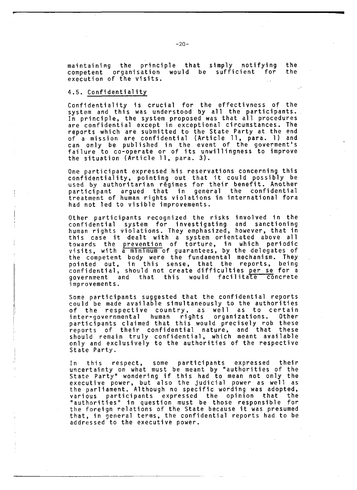maintaining the principle that simply notifying the competent organisation would be sufficient for execution of the visits.

#### 4.5. Confidentiality

Confidentiality is crucial for the effectivness of the system and this was understood by all the participants. In principle, the system proposed was that all procedures are confidential except in exceptional circumstances. The reports which are submitted to the State Party at the end of a mission are confidential (Article 11, para. 1) and can only be published in the event of the goverment's failure to co-operate or of its unwillingness to improve the situation (Article 11, para. 3).

One participant expressed his reservations concerning this confidentiality, pointing out that it could possibly be used by authoritarian regimes for their benefit. Another p articipant argued that in general the confidential treatment of human rights violations in international fora had not led to visible improvements.

Other participants recognized the risks involved in the confidential system for investigating and sanctionin human rights violations. They emphasized, however, that in this case it dealt with a system orientated above towards the prevention of torture, in which periodic visits, with a minimum of guarantees, by the delegates of the competent body were the fundamental mechanism. They pointed out, in this sense, that the reports, being confidential, should not create difficulties per se for a government and that this would facilitate concrete improvements.

Some participants suggested that the confidential reports could be made available simultaneously to the authorities of the respective country, as well as to certain inter-governmental human rights organizations. Other participants claimed that this would precisely rob these reports of their confidential nature, and that these should remain truly confidential, which meant available only and exclusively to the authorities of the respective State Party.

In this respect, some participants expressed their uncertainty on what must be meant by "authorities of the State Party" wondering if this had to mean not only the executive power, but also the judicial power as well as the parliament. Although no specific wording was adopted, various participants expressed the opinion that the "authorities" in question must be those responsible for the foreign relations of the State because it was presumed that, in general terms, the confidential reports had to be addressed to the executive power.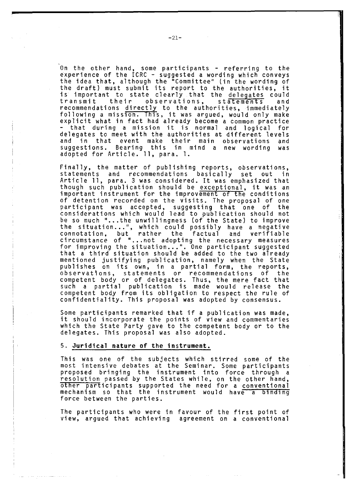On the other hand, some participants - referring to the experience of the ICRC - suggested a wording which conveys the idea that, although the "Committee" (in the wording of the draft) must submit its report to the authorities, it is important to state clearly that the delegates could transmit their observations, statements and recommendations directly to the authorities, immediately following a mission. This, it was argued, would only make explicit what in fact had already become a common practice that during a mission it is normal and logical for delegates to meet with the authorities at different levels and in that event make their main observations and suggestions. Bearing this in mind a new wording was adopted for Article. 11, para. 1.

Finally, the matter of publishing reports, observations, statements and recommendations basically set out in Article 11, para. 3 was considered. It was emphasized that though such publication should be exceptional, it was an important instrument for the improvement of the conditions of detention recorded on the visits. The proposal of one participant was accepted, suggesting that one of the considerations which would lead to publication should not be so much "...the unwillingness (of the State) to improve the situation...", which could possibly have a negative connotation, but rather the factual and verifiable circumstance of "...not adopting the necessary measures for improving the situation...". One participant suggested that a third situation should be added to the two already mentioned justifying publication, namely when the State publishes on its own, in a partial form, the reports, observations, statements or recommendations of the competent body or of delegates. Thus, the mere fact that such a partial publication is made would release the competent body from its obligation to respect the rule of confidentiality. This proposal was adopted by consensus.

Some participants remarked that if a publication was made, it should incorporate the points of view and commentaries which the State Party gave to the competent body or to the delegates. This proposal was also adopted.

#### 5. Juridical nature of the instrument.

This was one of the subjects which stirred some of the most intensive debates at the Seminar. Some participants proposed bringing the instrument into force through a resolution passed by the States while, on the other hand, other participants supported the need for a conventional mechanism so that the instrument would have a binding force between the parties.

The participants who were in favour of the first point of view, argued that achieving agreement on a conventional

F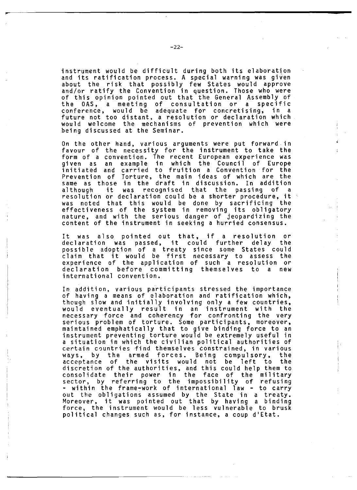instrument would be difficult during both its elaboration and its ratification process. A special warning was given about the risk that possibly few States would approve and/or ratify the Convention in question. Those who were of this opinion pointed out that the General Assembly of the OAS, a meeting of consultation or a specific conference, would be adequate for concretising, in a future not too distant, a resolution or declaration which would welcome the mechanisms of prevention which were being discussed at the Seminar.

On the other hand, various arguments were put forward in favour of the necessity for the instrument to take the form of a convention. The recent European experience was given as an example in which the Council of Europe initiated and carried to fruition a Convention for the Prevention of Torture, the main ideas of which are the same as those in the draft in discussion. In addition although it was recognised that the passing of a resolution or declaration could be a shorter procedure, it was noted that this would be done by sacrificing the effectiveness of the system in removing its obligatory nature, and with the serious danger of jeopardizing the content of the instrument in seeking a hurried consensus.

It was also pointed out that, if a resolution or declaration was passed, it could further delay the possible adoption of a treaty since some States could claim that it would be first necessary to assess the experience of the application of such a resolution or declaration before committing themselves to a new international convention.

In addition, various participants stressed the importance of having a means of elaboration and ratification which, though slow and initially involving only a few countries, would eventually result in an instrument with the necessary force and coherency for confronting the very serious problem of torture. Some participants, moreover, maintained emphatically that to give binding force to an instrument preventing torture would be extremely useful in a situation in which the civilian political authorities of certain countries find themselves constrained, in various ways, by the armed forces. Being compulsory, the acceptance of the visits would not be left to the d isc re ti on of the authorities, and this could help them to consolidate their power in the face of the military sector, by referring to the impossibility of refusing - within the frame-work of international law - to carry out the obligations assumed by the State in a treaty. Moreover, it was pointed out that by having a binding force, the instrument would be less vulnerable to brusk political changes such as, for instance, a coup d'Etat.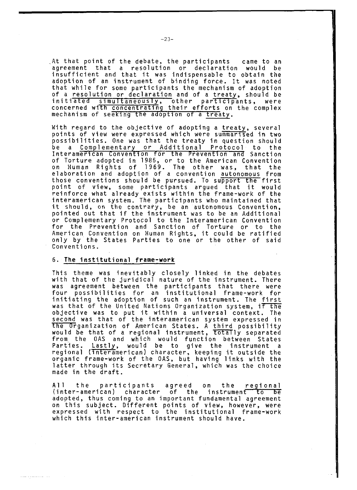At that point of the debate, the participants came to an agreement that a resolution or declaration would be insufficient and that it was indispensable to obtain the adoption of an instrument of binding force. It was noted that while for some participants the mechanism of adoption of a resolution or declaration and of a treaty, should be initiated simultaneously, other participants, were concerned with concentrating their efforts on the complex mechanism of seeking the adoption of a treaty.

With regard to the objective of adopting a treaty, several points of view were expressed which were summarised in two possibilities. One was that the treaty in question should be a Complementary or Additional Protocol to the Interamerican Convention for the Prevention and Sanction of Torture adopted in 1985, or to the American Convention on Human Rights of 1969. The other was, that the elaboration and adoption of a convention autonomous from those conventions should be pursued. To support the first point of view, some participants argued that it would reinforce what already exists within the frame-work of the interamerican system. The participants who maintained that it should, on the contrary, be an autonomous Convention, pointed out that if the instrument was to be an Additional or Complementary Protocol to the Interamerican Convention for the Prevention and Sanction of Torture or to the American Convention on Human Rights, it could be ratified only by the States Parties to one or the other of said Conventions.

## 6. The institutional frame-work

This theme was inevitably closely linked in the debates with that of the juridical nature of the instrument. There was agreement between the participants that there were four possibilities for an institutional frame-work for initiating the adoption of such an instrument. The first was that of the United Nations Organization system, if the objective was to put it within a universal context. The second was that of the interamerican system expressed in the Organization of American States. A third possibility would be that of a regional instrument, totally separated from the OAS and which would function between States Parties. Lastly, would be to give the instrument a regional (interamerican) character, keeping it outside the organic frame-work of the OAS, but having links with the latter through its Secretary General, which was the choice made in the draft.

All the participants agreed on the regional (inter-american) character of the instrument to be adopted, thus coming to an important fundamental agreement on this subject. Different points of view, however, were expressed with respect to the institutional frame-work which this inter-american instrument should have.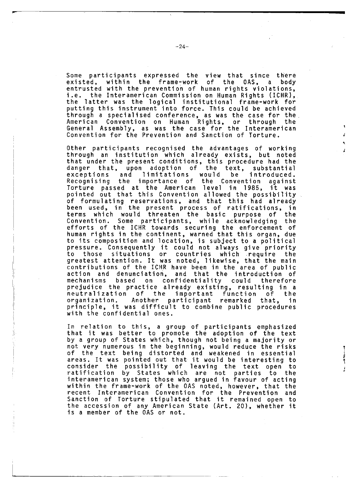Some participants expressed the view that since there existed, within the frame-work of the OAS, a body entrusted with the prevention of human rights violations, i.e. the Interamerican Commission on Human Rights (ICHR), the latter was the logical institutional frame-work for putting this instrument into force. This could be achieved through a specialised conference, as was the case for the. American Convention on Human Rights, or through the General Assembly, as was the case for the Interamerican Convention for the Prevention and Sanction of Torture.

\*

Other participants recognised the advantages of working through an institution which already exists, but noted that under the present conditions, this procedure had the danger that, upon adoption of the text, substantial exceptions and limitations would be introduced. Recognising the importance of the Convention against Torture passed at the American level in 1985, it was pointed out that this Convention allowed the possibility of formulating reservations, and that this had already been used, in the present process of ratifications, in terms which would threaten the basic purpose of the Convention. Some participants, while acknowledging the efforts of the ICHR towards securing the enforcement of human rights in the continent, warned that this organ, due to its composition and location, is subject to a political pressure. Consequently it could not always give priority to those situations or countries which require the greatest attention. It was noted, likewise, that the main contributions of the ICHR have been in the area of public action and denunciation, and that the introduction of mechanisms based on confidentiality could therefore prejudice the practice already existing, resulting in a n eu t ralization of the important function of the organization. Another participant remarked that, in principle, it was difficult to combine public procedures with the confidential ones.

In relation to this, a group of participants emphasized that it was better to promote the adoption of the text by a group of States which, though not being a majority or not very numerous in the beginning, would reduce the risks of the text being distorted and weakened in essential areas. It was pointed out that it would be interesting to consider the possibility of leaving the text open to ratification by States which are not parties to the interamerican system; those who argued in favour of acting within the frame-work of the OAS noted, however, that the recent Interamerican Convention for the Prevention and Sanction of Torture stipulated that it remained open to the accession of any American State (Art. 20), whether it is a member of the OAS or not.

**[**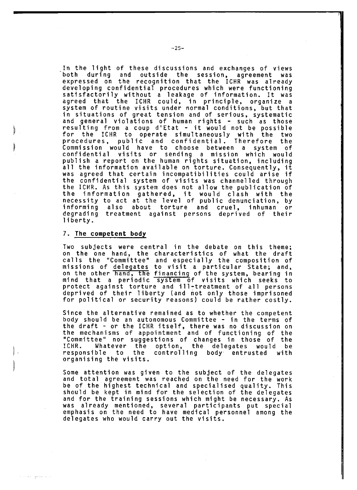In the light of these discussions and exchanges of views both during and outside the session, agreement was expressed on the recognition that the ICHR was already developing confidential procedures which were functioning satisfactorily without a leakage of information. It was agreed that the ICHR could, in principle, organize a system of routine visits under normal conditions, but that in situations of great tension and of serious, systematic and general violations of human rights - such as those resulting from a coup d'Etat - it would not be possible for the ICHR to operate simultaneously with the two procedures, public and confidential. Therefore the Commission would have to choose between a system of confidential visits or sending a mission which would publish a report on the human rights situation, including all the information available on torture. Consequently, it was agreed that certain incompatibilities could arise if the confidential system of visits was channelled through the ICHR. As this system does not allow the publication of the information gathered, it would clash with the necessity to act at the level of public denunciation, by informing also about torture and cruel, inhuman or degrading treatment against persons deprived of their liberty.

## 7. The competent body

Two subjects were central in the debate on this theme; on the one hand, the characteristics of what the draft calls the "Committee" and especially the composition of missions of delegates to visit a particular State; and, on the other hand, the financing of the system, bearing in mind that a periodic system of visits which seeks to protect against torture and ill-treatment of all persons deprived of their liberty (and not only those imprisoned for political or security reasons) could be rather costly.

Since the alternative remained as to whether the competent body should be an autonomous Committee - in the terms of the draft – or the ICHR itself, there was no discussion on the mechanisms of appointment and of functioning of the "Committee" nor suggestions of changes in those of the ICHR. Whatever the option, the delegates would be responsible to the controlling body entrusted with organising the visits.

Some attention was given to the subject of the delegates and total agreement was reached on the need for the work be of the highest technical and specialised quality. This should be kept in mind for the selection of the delegates and for the training sessions which might be necessary. As was already mentioned, several participants put special emphasis on the need to have medical personnel among the delegates who would carry out the visits.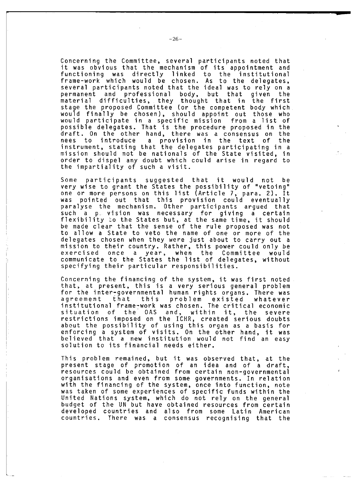Concerning the Committee, several participants noted that it was obvious that the mechanism of its appointment and functioning was directly linked to the institutional frame-work which would be chosen. As to the delegates, several participants noted that the ideal was to rely on a permanent and professional body, but that given the material d iff iculties, they t hought that in the first stage the proposed Committee (or the competent body which would fi nally be chosen), should appoint out those who would participate in a specific mission from a list of possible delegates. That is the procedure proposed in the draft. On the other hand, there was a consensus on the nees to introduce a provision in the text of the instrument, stating that the delegates participating in a m ission should not be nationals of the State visited, in order to dispel any doubt which could arise in regard to the impartiality of such a visit.

Some participants suggested that it would not be very wise to grant the States the possibility of "vetoing" one or more persons on this list (Article 7, para. 2). It was pointed out that this provision could eventually paralyse the mechanism. Other participants argued that such a p, vision was necessary for giving a certain flexibility to the States but, at the same time, it should be made clear that the sense of the rule proposed was not to allow a State to veto the name of one or more of the de legates chosen when they were just about to carry out a m ission to their country. Rather, this power could only be exercised once a year, when the Committee would communicate to the States the list of delegates, without specifying their particular responsibilities.

Concerning the financing of the system, it was first noted that, at present, this is a very serious general problem for the inter-governmental human rights organs. There was agreement that this problem existed whatever institutional frame-work was chosen. The critical economic situation of the OAS and, within it, the severe restrictions imposed on the ICHR, created serious doubts about the possibility of using this organ as a basis for enforcing a system of visits. On the other hand, it was believed that a new institution would not find an easy solution to its financial needs either.

This problem remained, but it was observed that, at the present stage of promotion of an idea and of a draft, resources could be obtained from certain non-governmental organisations and even from some governments. In relation with the financing of the system, once into function, note was taken of some experiences of specific funds within the United Nations system, which do not rely on the general budget of the UN but have obtained resources from certain developed countries and also from some Latin American countries. There was a consensus recognising that the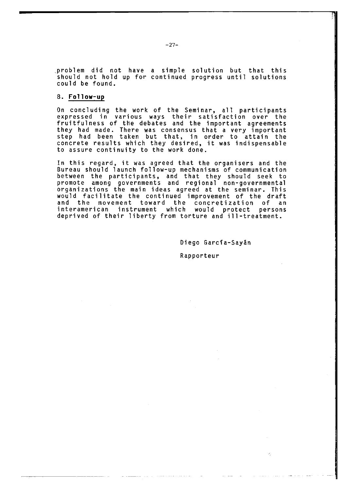problem did not have a simple solution but that this should not hold up for continued progress until solutions could be found.

## 8. Follow-up

On concluding the work of the Seminar, all participants expressed in various ways their satisfaction over the fruitfulness of the debates and the important agreements they had made. There was consensus that a very important step had been taken but that, in order to attain the concrete results which they desired, it was indispensable to assure continuity to the work done.

In this regard, it was agreed that the organisers and the Bureau should launch follow-up mechanisms of communication between the participants, and that they should seek to promote among governments and regional non-governmental organizations the main ideas agreed at the seminar. This would facilitate the continued improvement of the draft and the movement toward the concretization of an interamerican instrument which would protect persons deprived of their liberty from torture and ill-treatment.

Diego García-Sayán

T

Rapporteur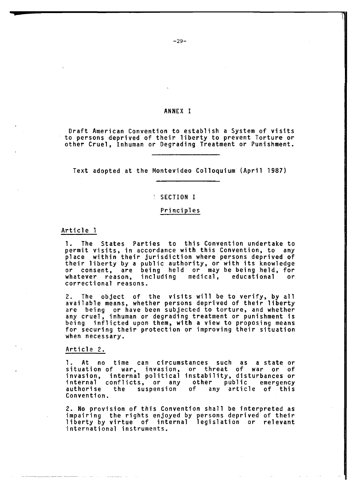#### ANNEX I

Draft American Convention to establish a System of visits to persons deprived of their liberty to prevent Torture or other Cruel, Inhuman or Degrading Treatment or Punishment.

Text adopted at the Montevideo Colloquium (April 1987)

#### SECTION I

#### **Principles**

#### Article 1

1. The States Parties to this Convention undertake to permit visits, in accordance with this Convention, to any place within their jurisdiction where persons deprived of their liberty by a public authority, or with its knowledge or consent, are being held or may be being held, for whatever reason, including medical, educational or correctional reasons.

2. The object of the visits will be to verify, by al available means, whether persons deprived of their liberty are being or have been subjected to torture, and whether any cruel, inhuman or degrading treatment or punishment is being inflicted upon them, with a view to proposing means for securing their protection or improving their situation when necessary.

#### Article 2.

1. At no time can circumstances such as a state or situation of war, invasion, or threat of war or o invasion, internal political instability, disturbances or internal conflicts, or any other public emergency any article of this Convention.

2. No provision of this Convention shall be interpreted as impairing the rights enjoyed by persons deprived of their liberty by virtue of internal legislation or relevant international instruments.

 $-29-$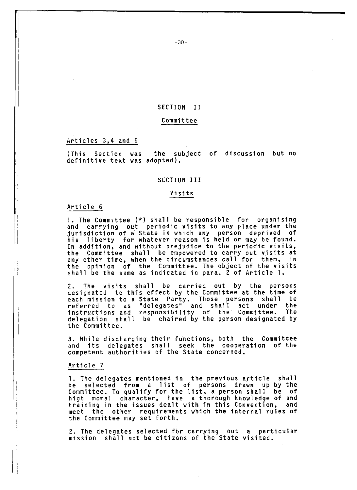#### SECTION II

#### Committee

#### Articles 3,4 and 5

(This Section was the subject of discussion but no definitive text was adopted).

#### SECTION III

#### Visits

#### Article 6

1. The Committee  $(*)$  shall be responsible for organising and carrying out periodic visits to any place under the jurisdiction of a State in which any person deprived of his liberty for whatever reason is held or may be found. In addition, and without prejudice to the periodic visits, the Committee shall be empowered to carry out visits at any other time, when the circumstances call for them, in the opinion of the Committee. The object of the visits shall be the same as indicated in para. 2 of Article 1.

2. The visits shall be carried out by the persons designated to this effect by the Committee at the time of each mission to a State Party. Those persons shall be referred to as "delegates" and shall act under the instructions and responsibility of the Committee. The delegation shall be chaired by the person designated by the Committee.

3. While discharging their functions, both the Committee and its delegates shall seek the cooperation of the competent authorities of the State concerned.

#### Article 7

1. The delegates mentioned in the previous article shall be selected from a list of persons drawn up by the Committee. To qualify for the list, a person shall be of high moral character, have a thorough knowledge of and training in the issues dealt with in this Convention, and meet the other requirements which the internal rules of the Committee may set forth.

2. The delegates selected for carrying out a particular mission shall not be citizens of the State visited.

- 30-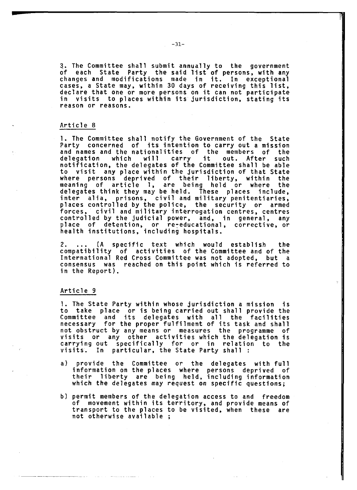3. The Committee shall submit annually to the government of each State Party the said list of persons, with any changes and modifications made in it. In exceptional cases, a State may, within 30 days of receiving this list, declare that one or more persons on it can not participate in visits to places within its jurisdiction, stating its reason or reasons.

#### Article 8

1. The Committee shall notify the Government of the State Party concerned of its intention to carry out a mission and names and the nationalities of the members of the delegation which will carry it out. After such notification, the delegates of the Committee shall be able to visit any place within the jurisdiction of that State where persons deprived of their liberty, within the meaning of article 1, are being held or where the delegates think they may be held. These places include, inter alia, prisons, civil and military penitentiaries, places controlled by the police, the security or armed forces, civil and military interrogation centres, centres controlled by the judicial power, and, in general, any place of detention, or re-educational, corrective,or health institutions, including hospitals.

2. ... (A specific text which would establish the compatibility of activities of the Committee and of the International Red Cross Committee was not adopted, but a consensus was reached on this point which is referred to in the Report).

#### Article 9

1. The State Party within whose jurisdiction a mission is to take place or is being carried out shall provide the Committee and its delegates with all the facilities necessary for the proper fulfilment of its task and shall not obstruct by any means or measures the programme of visits or any other activities which the delegation is carrying out specifically for or in relation to the visits. In particular, the State Party shall :

- a) provide the Committee or the delegates with full information on the places where persons deprived of their liberty are being held, including information which the delegates may request on specific questions;
- b) permit members of the delegation access to and freedom of movement within its territory, and provide means of transport to the places to be visited, when these are not otherwise available ;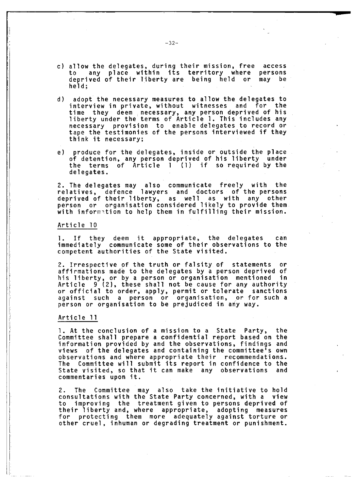- c) allow the delegates, during their mission, free access to any place within its territory where persons deprived of their liberty are being held or may be held;
- d) adopt the necessary measures to allow the delegates to interview in private, without witnesses and for the time they deem necessary, any person deprived of his liberty under the terms of Article 1. This includes any necessary provision to enable delegates to record or tape the testimonies of the persons interviewed if they think it necessary;
- e) produce for the delegates, inside or outside the place of detention, any person deprived of his liberty under the terms of Article  $1$  (1) if so required by the delegates.

2. The delegates may also communicate freely with th relatives, defence lawyers and doctors of the persons d eprived of their liberty, as well as with any other person or organisation considered likely to provide them with information to help them in fulfilling their mission.

#### Article 10

1. If they deem it appropriate, the delegates can immediately communicate some of their observations to the competent authorities of the State visited.

2. Irrespective of the truth or falsity of statements or affirmations made to the delegates by a person deprived of his liberty, or by a person or organisation mentioned in Article 9 (2), these shall not be cause for any authority or official to order, apply, permit or tolerate sanctions against such a person or organisation, or for such a person or organisation to be prejudiced in any way.

#### Article 11

1. At the conclusion of a mission to a State Party, the Committee shall prepare a confidential report based on the information provided by and the observations, findings and views of the delegates and containing the committee's own observations and where appropriate their recommendations. The Committee will submit its report in confidence to the State visited, so that it can make any observations and commentaries upon it.

2. The Committee may also take the initiative to hold consultations with the State Party concerned, with a view to improving the treatment given to persons deprived of their liberty and, where appropriate, adopting measures for protecting them more adequately against torture or other cruel, inhuman or degrading treatment or punishment.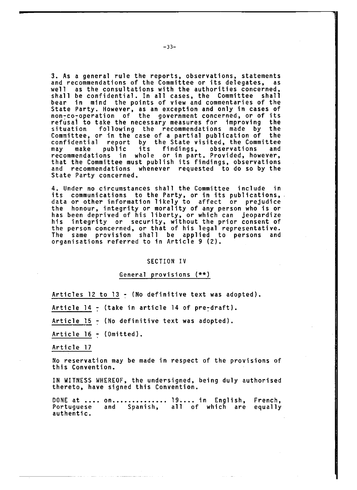3. As a general rule the reports, observations, statements and recommendations of the Committee or its delegates, as well as the consultations with the authorities concerned, shall be confidential. In all cases, the Committee shall bear in mind the points of view and commentaries of the State Party. However, as an exception and only in cases of non-co-operation of the government concerned, or of its refusai to take the necessary measures for improving the situation following the recommendations made by the Committee, or in the case of a partial publication of the confidential report by the State visited, the Committee may make public its findings, observations and recommendations in whole or in part. Provided, however, that the Committee must publish its findings, observations and recommendations whenever requested to do so by the State Party concerned.

4. Under no circumstances shall the Committee include in its communications to the Party, or in its publications, data or other information likely to affect or prejudice the honour, integrity or morality of any person who is or has been deprived of his liberty, or which can jeopardize his integrity or security, without the prior consent of the person concerned, or that of his legal representative. The same provision shall be applied to persons and organisations referred to in Article 9 (2).

#### SECTION IV

## General provisions (\*\*)

Articles 12 to 13 - (No definitive text was adopted).

Article  $14 -$  (take in article 14 of pre-draft).

Article 15 - (No definitive text was adopted).

Article  $16 - (0$ mitted).

Article 17

No reservation may be made in respect of the provisions of this Convention.

IN WITNESS WHEREOF, the undersigned, being duly authorised thereto, have signed this Convention.

DONE at .... on.............. 19.... in English, French, Portuguese and Spanish, all of which are equally authentic.

~1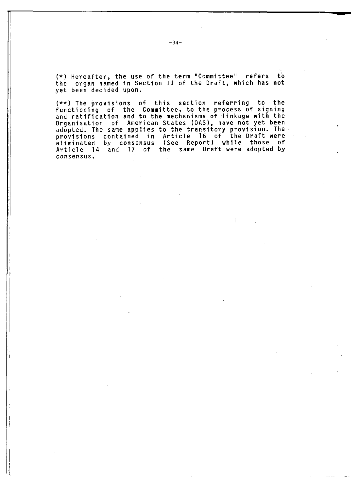(\*) Hereafter, the use of the term "Committee" refers to the organ named in Section II of the Draft, which has not yet been decided upon.

(\*\*) The provisions of this section referring to the functioning of the Committee, to the process of signing and ratification and to the mechanisms of linkage with the Organisation of American States (OAS), have not yet been adopted. The same applies to the transitory provision. The provisions contained in Article 16 of the-Draft-were eliminated by consensus (See Report) while those of Article 14 and 17 of the same Draft were adopted by consensus.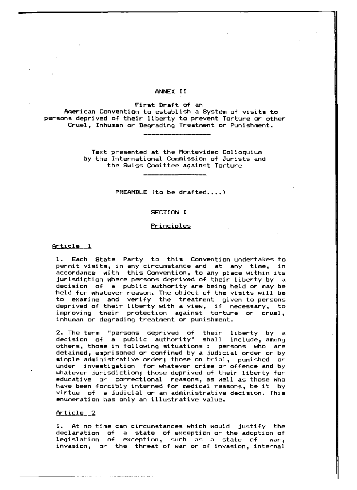#### ANNEX II

First Draft of an

American Convention to establish a System of visits to persons deprived of their liberty to prevent Torture or other Cruel, Inhuman or Degrading Treatment or Punishment.

> Text presented at the Montevideo Colloquium by the International Commission of Jurists and the Swiss Comittee against Torture

> > $PREAMBLE$  (to be drafted....)

#### SECTION I

#### Principles

#### Article 1

1. Each State Party to this Convention undertakes to permit visits, in any circumstance and at any time, in accordance with this Convention, to any place within its jurisdiction where persons deprived of their liberty by a decision of a public authority are being held or may be held for whatever reason. The object of the visits will be to examine and verify the treatment given to persons deprived of their liberty with a view, if necessary, to improving their protection against torture or cruel, inhuman or degrading treatment or punishment.

2. The term "persons deprived of their liberty by a decision of a public authority" shall include, amonq others, those in following situations : persons who are detained, emprisoned or confined by a judicial order or by simple administrative order; those on trial, punished or under investigation for whatever crime or offence and by whatever jurisdiction; those deprived of their liberty for educative or correctional reasons, as well as those who have been forcibly interned for medical reasons, be it by virtue of a judicial or an administrative decision. This enumeration has only an illustrative value.

#### Article 2

1. At no time can circumstances which would justify the declaration of a state of exception or the adoption of legislation of exception, such as a state of war, invasion, or the threat of war or of invasion, internal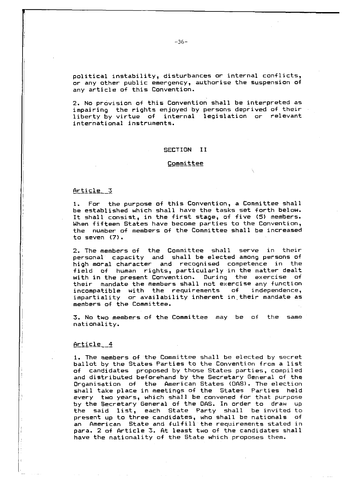political instability, disturbances or internal conflicts, or any other public emergency, authorise the suspension of any article of this Convention.

2. No provision of this Convention shall be interpreted as impairing the rights enjoyed by persons deprived of their liberty by virtue of internal legislation or relevant international instruments.

#### SECTION II

#### **Committee**

#### Article 3

1. For the purpose of this Convention, a Committee shall be established which shall have the tasks set forth below. It shall consist, in the first stage, of five (5) members. When fifteen States have become parties to the Convention, the number of members of the Committee shall be increased to seven (7).

2. The members of the Committee shall serve in their personal capacity and shall be elected among persons of high moral character and recognised competence in the field of human rights, particularly in the matter dealt with in the present Convention. During the exercise of their mandate the members shall not exercise any function incompatible with the requirements of independence, impartiality or availability inherent in their mandate as members of the Committee.

3. No two members of the Committee may be of the same nationality.

#### <u>Article 4</u>

1. The members of the Committee shall be elected by secret ballot by the States Parties to the Convention from a list of candidates proposed by those States parties, compiled and distributed beforehand by the Secretary General of the Organisation of the American States (OAS). The election shall take place in meetings of the States Parties held every two years, which shall be convened for that purpose by the Secretary General of the DAS. In order to draw up the said list, each State Party shall be invited to present up to three candidates, who shall be nationals of an American State and fulfill the requirements stated in para. 2 of Article 3. At least two of the candidates shall have the nationality of the State which proposes them.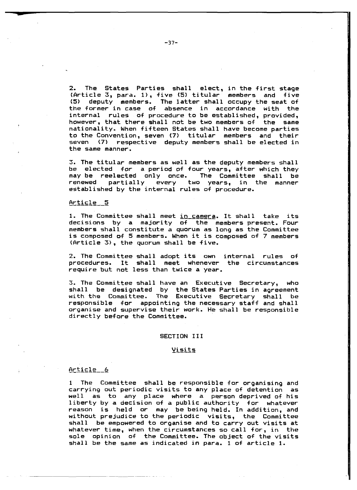2. The States Parties shall elect, in the first stage (Article 3, para. 1), five (5) titular members and five (5) deputy members. The latter shall occupy the seat of the former in case of absence in accordance with the internal rules of procedure to be established, provided, however, that there shall not be two members of the same nationality. When fifteen States shall have become parties to the Convention, seven (7) titular members and their seven (7) respective deputy members shall be elected in the same manner.

3. The titular members as well as the deputy members shall be elected for a period of four years, after which they may be reelected only once. The Committee shall be renewed partially every two years, in the manner established by the internal rules of procedure.

#### Article 5

1. The Committee shall meet in camera. It shall take its decisions by a majority of the members-present. Four members shall constitute a quorum as long as the Committee is composed of 5 members. When it is composed of 7 members (Article 3), the quorum shall be five.

2. The Committee shall adopt its own internal rules of procedures. It shall meet whenever the circumstances require but not less than twice a year.

3. The Committee shall have an Executive Secretary, who shall be designated by the States Parties in agreement with the Committee. The Executive Secretary shall be responsible  $for$  appointing the necessary staff and shall organise and supervise their work. He shall be responsible directly before the Committee.

#### SECTION III

#### **Yisits**

#### Article 6

1 The Committee shall be responsible for organising and carrying out periodic visits to any place of detention as well as to any place where a person-deprived of his liberty by a decision of a public authority for whatever reason is held or may be being held. In addition, and without prejudice to the periodic visits, the Committee shall be empowered to organise and to carry out visits at whatever time, when the circumstances so call for, in the sole opinion of the Committee. The object of the visits shall be the same as indicated in para. 1 of article 1.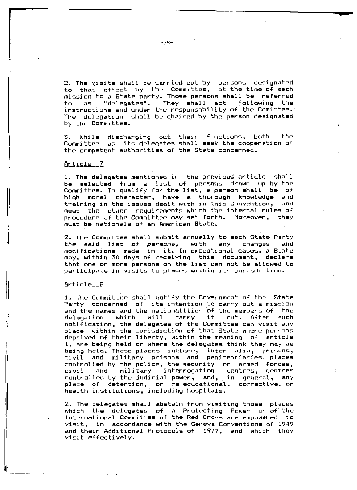2. The visits shall be carried out by persons designated to that effect by the Committee, at the time of each mission to a State party. Those persons shall be referred to as "delegates". They shall act following the instructions and under the responsability of the Comittee. The delegation shall be chaired by the person designated by the Committee.

3. While discharging out their functions, both the Committee as its delegates shall seek the cooperation of the competent authorities of the State concerned.

#### Article 7

1. The delegates mentioned in the previous article shall be selected from a list of persons drawn up by the Committee. To qualify for the list, a person shall be of high moral character, have a thorough knowledge and training in the issues dealt with in this Convention, and meet the other requirements which the internal rules of procedure of the Committee may set forth. Moreover, they must be nationals of an American State.

2. The Committee shall submit annually to each State Party the said list of persons, with any changes and modifications made in it. In exceptional cases, a State may, within 30 days of receiving this document, declare that one or more persons on the list can not be allowed to participate in visits to places within its jurisdiction.

#### Article\_\_0

1. The Committee shall notify the Government of the State Party concerned of its intention to carry out a mission and the names and the nationalities of the members of the delegation which will carry it out. After such notification, the delegates of the Committee can visit any place within the jurisdiction of that State where persons deprived of their liberty, within the meaning of article 1, are being held or where the delegates think they may be being held. These places include, inter alia, prisons, civil and military prisons and penitentiaries, places controlled by the police, the security or armed forces,  $civil$  and military interrogation centres, centres controlled by the judicial power, and, in general, any place of detention, or re-educational, corrective, or health institutions, including hospitals.

2. The delegates shall abstain from visiting those places which the delegates of a Protecting Power or of the International Committee of the Red Cross are empowered to visit, in accordance with the Geneva Conventions of 1949 and their Additional Protocols of 1977, and which they visit effectively.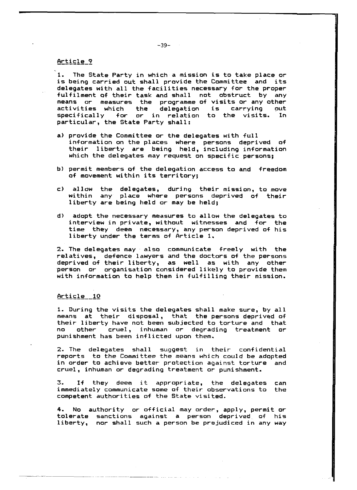## Article 9

1. The State Party in which a mission is to take place or is being carried out shall provide the Committee and its delegates with all the facilities necessary for the proper fulfilment of their task and shall not obstruct by any means or measures the programme of visits or any other activities which the delegation is carrying out specifically for or in relation to the visits. In particular, the State Party shall:

- a) provide the Committee or the delegates with full information on the places where persons deprived of their liberty are being held, including information which the delegates may request on specific persons;
- b) permit members of the delegation access to and freedom of movement within its territory;
- c) allow the delegates, during their mission, to move within any place where persons deprived of their liberty are being held or may be held;
- d) adopt the necessary measures to allow the delegates to interview in private, without witnesses and for the time they deem necessary, any person deprived of his liberty under the terms of Article 1.

2. The delegates may also communicate freely with the relatives, defence lawyers and the doctors of the persons deprived of their liberty, as well as with any other person or organisation considered likely to provide them with information to help them in fulfilling their mission.

#### Article 10

1. During the visits the delegates shall make sure, by all means at their disposal, that the persons deprived of their liberty have not been subjected to torture and that no other cruel, inhuman or degrading treatment or punishment has been inflicted upon them.

2. The delegates shall suggest in their confidential reports to the Committee the means which could be adopted in order to achieve better protection against torture and cruel, inhuman or degrading treatment or punishment.

3. If they deem it appropriate, the delegates can immediately communicate some of their observations to the competent authorities of the State visited.

4. No authority or official may order, apply, permit or tolerate sanctions against a person deprived of his liberty, nor shall such a person be prejudiced in any way

1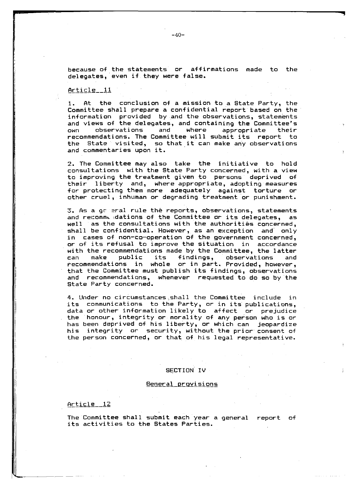because of the statements or affirmations made to the delegates, even if they were false.

#### Article  $11$

1. At the conclusion of a mission to a State Party, the Committee shall prepare a confidential report based on the information provided by and the observations, statements and views of the delegates, and containing the Committee's own observations and where appropriate their recommendations. The Committee will submit its report to the State visited, so that it can make any observations and commentaries upon it.

2. The Committee may also take the initiative to hold consultations with the State Party concerned, with a view to improving the treatment given to persons deprived of their liberty and, where appropriate, adopting measures for protecting them more adequately against torture or other cruel, inhuman or degrading treatment or punishment.

 $3.$  As a ge eral rule the reports, observations, statements and recomme dations of the Committee or its delegates, as well as the consultations with the authorities concerned, shall be confidential. However, as an exception and only in cases of non-co-operation of the government concerned, or of its refusal to improve the situation in accordance with the recommendations made by the Committee, the latter can make public its findings, observations and recommendations in whole or in part. Provided, however, that the Committee must publish its findings, observations and recommendations, whenever requested to do so by the State Party concerned.

4. Under no circumstances shall the Committee include in its communications to the Party, or in its publications, data or other information likely to affect or prejudice the honour, integrity or morality of any person who is or has been deprived of his liberty, or which can jeopardize his integrity or security, without the prior consent of the person concerned, or that of his legal representative.

#### SECTION IV

#### <u>General provisions</u>

#### $Article\_12$

**I**

The Committee shall submit each year a general report of its activities to the States Parties.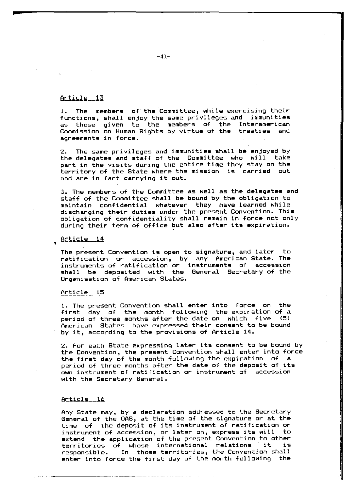#### Article 13

1. The members of the Committee, while exercising their functions, shall enjoy the same privileges and immunities as those given to the members of the Interamerican Commission on Human Rights by virtue of the treaties and agreements in force.

2. The same privileges and immunities shall be enjoyed by the delegates and staff of the Committee who will take part in the visits during the entire time they stay on the territory of the State where the mission is carried out and are in fact carrying it out.

3. The members of the Committee as well as the delegates and staff of the Committee shall be bound by the obligation to maintain confidential whatever they have learned while discharging their duties under the present Convention. This obligation of confidentiality shall remain in force not only during their term of office but also after its expiration.

## $Article_14$

The present Convention is open to signature, and later to ratification or accession, by any American-State. The instruments of ratification or instruments of accession shall be deposited with the General Secretary of the Organisation of American States.

#### Article 15

1. The present Convention shall enter into force on the first day of the month following the expiration of a period of three months after the date on which five (5) American States have expressed their consent to be bound by it, according to the provisions of Article 14.

2. For each State expressing later its consent to be bound by the Convention, the present Convention shall enter into force the first day of the month following the expiration of a period of three months after the date of the deposit of its own instrument of ratification or instrument of accession with the Secretary General.

#### <u>Article 16</u>

Any State may, by a declaration addressed to the Secretary General of the OAS, at the time of the signature or at the time of the deposit of its instrument of ratification or instrument of accession, or later on, express its will to extend the application of the present Convention to other territories of whose international relations it is responsible. In those territories, the Convention shall enter into force the first day of the month following the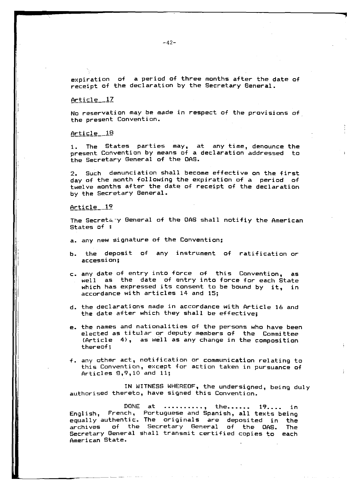expiration of a period of three months after the date of receipt of the declaration by the Secretary General.

#### $Arti  $el = 17$$

No reservation may be made in respect of the provisions of the present Convention.

#### $Arti<sub>ce</sub> = 18$

1. The States parties may, at any time, denounce the present Convention by means of a declaration addressed to the Secretary General of the OAS.

2. Such denunciation shall become effective on the first day of the month following the expiration of a period of twelve months after the date of receipt of the declaration by the Secretary General.

#### Article  $12$

The Secretary General of the OAS shall notifiy the American States of :

- a. any new signature of the Convention:
- b. the deposit of any instrument of ratification or accession;
- c. any date of entry into force of this Convention, as well as the date of entry into force for each State which has expressed its consent to be bound by it, in accordance with articles 14 and 15;
- d. the declarations made in accordance with Article 16 and the date after which they shall be effective:
- e. the names and nationalities of the persons who have been elected as titular or deputy members of the Committee  $(Article 4)$ , as well as any change in the composition thereof;
- f. any other act, notification or communication relating to this Convention, except for action taken in pursuance of  $Articles 8,9,10 and 11;$

IN WITNESS WHEREOF, the undersigned, being duly authorised thereto, have signed this Convention.

DONE at .........., the...... 19.... in English, French, Portuguese and Spanish, all texts being equally authentic. The originals are deposited in the ar chives of the Secretary General of the OAS. The Secretary General shall transmit certified copies to each American State.

 $-42-$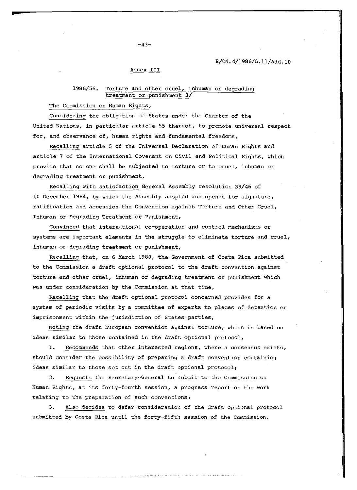#### E/CN.4/1986/L.11/Add.10

#### Annex III

## 1986/56. Torture and other cruel, inhuman or degrading treatment or punishment 3/

The Commission on Human Rights,

Considering the obligation of States under the Charter of the United Nations, in particular article 55 thereof, to promote universal respect for, and observance of, human rights and fundamental freedoms,

Recalling article 5 of the Universal Declaration of Human Rights and article 7 of the International Covenant on Civil and Political Rights, which provide that no one shall be subjected to torture or to cruel, inhuman or degrading treatment or punishment,

Recalling with satisfaction General Assembly resolution 39/46 of 10 December 1984, by which the Assembly adopted and opened for signature, ratification and accession the Convention against Torture and Other Cruel, Inhuman or Degrading Treatment or Punishment,

Convinced that international co-operation and control mechanisms or systems are important elements in the struggle to eliminate torture and cruel, inhuman or degrading treatment or punishment,

Recalling that, on 6 March 1980, the Government of Costa Rica submitted to the Commission a draft optional protocol to the draft convention against torture and other cruel, inhuman or degrading treatment or punishment which was under consideration by the Commission at that time,

Recalling that the draft optional protocol concerned provides for a system of periodic visits by a committee of experts to places of detention or imprisonment within the jurisdiction of States parties,

Noting the draft European convention against torture, which is based on ideas similar to those contained in the draft optional protocol,

1. Recommends that other interested regions, where a consensus exists, should consider the possibility of preparing a draft convention containing ideas similar to those set out in the draft optional protocol;

2. Requests the Secretary-General to submit to the Commission on Human Rights, at its forty-fourth session, a progress report on the work relating to the preparation of such conventions,

3. Also decides to defer consideration of the draft optional protocol submitted by Costa Rica until the forty-fifth session of the Commission.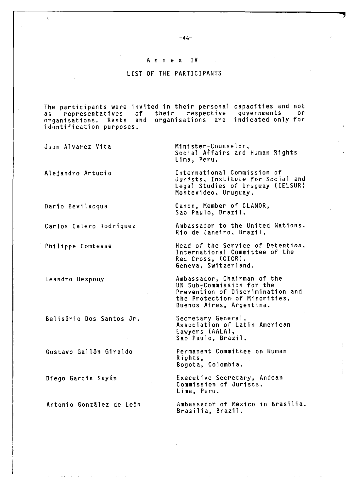#### Annex IV

## LIST OF THE PARTICIPANTS

The participants were invited in their personal capacities and not as representatives of their respective governments or organisations. Ranks and organisations are indicated only for identification purposes.

Juan Alvarez Vita

Alejandro Artucio

Dario Bevilacqua

Carlos Calero Rodriguez

Philippe Comtesse

Leandro Despouy

B elisario Dos Santos Jr.

Gustavo Gallon Giraldo

Diego Garcia Sayan

Minister-Counselor, Social Affairs and Human Rights Lima, Peru.

International Commission of Jurists, Institute for Social and Legal Studies of Uruguay (IELSUR) Montevideo, Uruguay.

Canon, Member of CLAMOR, Sao Paulo, Brazil.

Ambassador to the United Nations. Rio de Janeiro, Brazil.

Head of the Service of Detention, International Committee of the Red Cross, (CICR). Geneva, Switzerland.

Ambassador, Chairman of the UN Sub-Commission for the Prevention of Discrimination and the Protection- of Minorities, Buenos Aires, Argentina.

Secretary General. Association of Latin American Lawyers (AALA), Sao Paulo, Brazil.

Permanent Committee on Human Rights, Bogota, Colombia.

Executive Secretary, Andean Commission of Jurists. Lima, Peru.

Antonio González de León Ambassador of Mexico in Brasilia. Brasilia, Brazil.

 $-44-$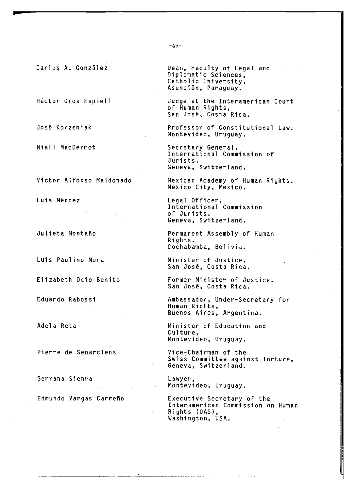Carlos A. González

Hector Gros Espiell

Jose Korzeniak

Niall MacDermot

Victor Alfonso Maldonado

Luis Mendez

Julieta Montaño

Luis Paulino Mora

Elizabeth Odio Benito

Eduardo Rabossi

Adela Reta

Pierre de Senarclens

Serrana Sienra

Edmundo Vargas Carreño

Dean, Faculty of Legal and Diplomatic Sciences, Catholic University. Asunción, Paraguay.

Judge at the Interamerican Court of Human Rights, San Jose, Costa Rica.

Professor of Constitutional Law. Montevideo, Uruguay.

Secretary General, International Commission of Jurists. Geneva, Switzerland.

Mexican Academy of Human Rights. Mexico City, Mexico.

Legal Officer, International Commission of Jurists. Geneva, Switzerland.

Permanent Assembly of Human Rights. Cochabamba, Bolivia.

Minister of Justice. San Jose, Costa Rica.

Former Minister of Justice. San Jose, Costa Rica.

Ambassador, Under-Secretary for Human Rights, Buenos Aires, Argentina.

Minister of Education and Culture, Montevideo, Uruguay.

Vice-Chairman of the Swiss Committee against Torture, Geneva, Switzerland.

Lawyer, Montevideo, Uruguay.

Executive Secretary of the Interamerican Commission on Human Rights (OAS), Washington, USA.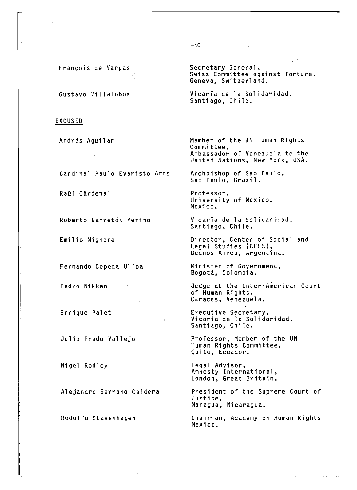Frangois de Vargas

Gustavo Villalobos

#### EXCUSED

Andres Aguilar

Cardinal Paulo Evaristo Arns

Raúl Cárdenal

Roberto Garretón Merino

Emilio Mignone

Fernando Cepeda Ulloa

Pedro Nikken

Enri que Palet

Julio Prado Val1ejo

Nigel Rodley

Alejandro Serrano Caldera

Rodolfo Stavenhagen

Secretary General, Swiss Committee against Torture. Geneva, Switzerland.

Vi caria de la Solidaridad. Santiago, Chile.

Member of the UN Human Rights Committee, Ambassador of Venezuela to the United Nations, New York, USA.

Archbishop of Sao Paulo, Sao Paulo, Brazil.

Professor, University of Mexico. Mexico.

Vicaria de la Solidaridad. Santiago, Chile.

Director, Center of Social and Legal Studies (CELS), Buenos Aires, Argentina.

Minister of Government, Bogota, Colombia.

Judge at the Inter-American Court of Human Rights. Caracas, Venezuela.

Executive Secretary. Vi caria de la Solidaridad. Santiago, Chile.

Professor, Member of the UN Human Rights Committee. Quito, Ecuador.

Legal Advisor, Amnesty International, London, Great Britain.

President of the Supreme Court of Justice, Managua, Nicaragua.

Chairman, Academy on Human Rights Mexi co.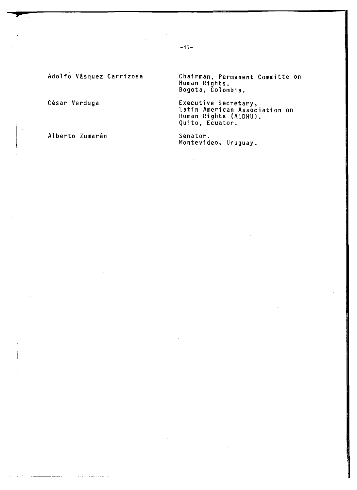Adolfo Vasquez Carrizosa

César Verduga

\*

Alberto Zumarán

Chairman, Permanent Committe on Human Rights. Bogota, Colombia.

Executive Secretary, Latin American Association on Human Rights (ALDHU). Quito, Ecuator.

Senator. Montevideo, Uruguay.